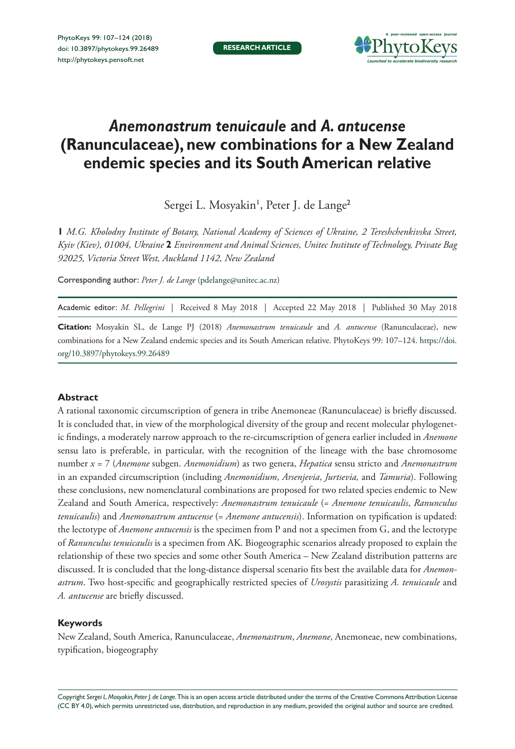

# *Anemonastrum tenuicaule* **and** *A. antucense*  **(Ranunculaceae), new combinations for a New Zealand endemic species and its South American relative**

Sergei L. Mosyakin', Peter J. de Lange<sup>2</sup>

**1** *M.G. Kholodny Institute of Botany, National Academy of Sciences of Ukraine, 2 Tereshchenkivska Street, Kyiv (Kiev), 01004, Ukraine* **2** *Environment and Animal Sciences, Unitec Institute of Technology, Private Bag 92025, Victoria Street West, Auckland 1142, New Zealand*

Corresponding author: *Peter J. de Lange* [\(pdelange@unitec.ac.nz\)](mailto:pdelange@unitec.ac.nz)

Academic editor: *M. Pellegrini* | Received 8 May 2018 | Accepted 22 May 2018 | Published 30 May 2018

**Citation:** Mosyakin SL, de Lange PJ (2018) *Anemonastrum tenuicaule* and *A. antucense* (Ranunculaceae), new combinations for a New Zealand endemic species and its South American relative. PhytoKeys 99: 107–124. [https://doi.](https://doi.org/10.3897/phytokeys.99.26489) [org/10.3897/phytokeys.99.26489](https://doi.org/10.3897/phytokeys.99.26489)

#### **Abstract**

A rational taxonomic circumscription of genera in tribe Anemoneae (Ranunculaceae) is briefly discussed. It is concluded that, in view of the morphological diversity of the group and recent molecular phylogenetic findings, a moderately narrow approach to the re-circumscription of genera earlier included in *Anemone* sensu lato is preferable, in particular, with the recognition of the lineage with the base chromosome number *x* = 7 (*Anemone* subgen. *Anemonidium*) as two genera, *Hepatica* sensu stricto and *Anemonastrum* in an expanded circumscription (including *Anemonidium*, *Arsenjevia*, *Jurtsevia,* and *Tamuria*). Following these conclusions, new nomenclatural combinations are proposed for two related species endemic to New Zealand and South America, respectively: *Anemonastrum tenuicaule* (= *Anemone tenuicaulis*, *Ranunculus tenuicaulis*) and *Anemonastrum antucense* (= *Anemone antucensis*). Information on typification is updated: the lectotype of *Anemone antucensis* is the specimen from P and not a specimen from G, and the lectotype of *Ranunculus tenuicaulis* is a specimen from AK. Biogeographic scenarios already proposed to explain the relationship of these two species and some other South America – New Zealand distribution patterns are discussed. It is concluded that the long-distance dispersal scenario fits best the available data for *Anemonastrum*. Two host-specific and geographically restricted species of *Urosystis* parasitizing *A. tenuicaule* and *A. antucense* are briefly discussed.

#### **Keywords**

New Zealand, South America, Ranunculaceae, *Anemonastrum*, *Anemone*, Anemoneae, new combinations, typification, biogeography

Copyright *Sergei L. Mosyakin, Peter J. de Lange.* This is an open access article distributed under the terms of the [Creative Commons Attribution License](http://creativecommons.org/licenses/by/4.0/)  [\(CC BY 4.0\)](http://creativecommons.org/licenses/by/4.0/), which permits unrestricted use, distribution, and reproduction in any medium, provided the original author and source are credited.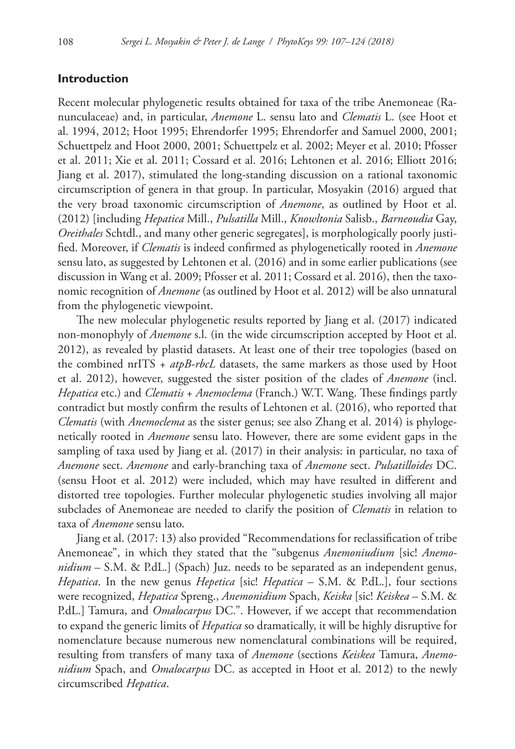### **Introduction**

Recent molecular phylogenetic results obtained for taxa of the tribe Anemoneae (Ranunculaceae) and, in particular, *Anemone* L. sensu lato and *Clematis* L. (see Hoot et al. 1994, 2012; Hoot 1995; Ehrendorfer 1995; Ehrendorfer and Samuel 2000, 2001; Schuettpelz and Hoot 2000, 2001; Schuettpelz et al. 2002; Meyer et al. 2010; Pfosser et al. 2011; Xie et al. 2011; Cossard et al. 2016; Lehtonen et al. 2016; Elliott 2016; Jiang et al. 2017), stimulated the long-standing discussion on a rational taxonomic circumscription of genera in that group. In particular, Mosyakin (2016) argued that the very broad taxonomic circumscription of *Anemone*, as outlined by Hoot et al. (2012) [including *Hepatica* Mill., *Pulsatilla* Mill., *Knowltonia* Salisb., *Barneoudia* Gay, *Oreithales* Schtdl., and many other generic segregates], is morphologically poorly justified. Moreover, if *Clematis* is indeed confirmed as phylogenetically rooted in *Anemone* sensu lato, as suggested by Lehtonen et al. (2016) and in some earlier publications (see discussion in Wang et al. 2009; Pfosser et al. 2011; Cossard et al. 2016), then the taxonomic recognition of *Anemone* (as outlined by Hoot et al. 2012) will be also unnatural from the phylogenetic viewpoint.

The new molecular phylogenetic results reported by Jiang et al. (2017) indicated non-monophyly of *Anemone* s.l. (in the wide circumscription accepted by Hoot et al. 2012), as revealed by plastid datasets. At least one of their tree topologies (based on the combined nrITS + *atpB*-*rbcL* datasets, the same markers as those used by Hoot et al. 2012), however, suggested the sister position of the clades of *Anemone* (incl. *Hepatica* etc.) and *Clematis* + *Anemoclema* (Franch.) W.T. Wang. These findings partly contradict but mostly confirm the results of Lehtonen et al. (2016), who reported that *Clematis* (with *Anemoclema* as the sister genus; see also Zhang et al. 2014) is phylogenetically rooted in *Anemone* sensu lato. However, there are some evident gaps in the sampling of taxa used by Jiang et al. (2017) in their analysis: in particular, no taxa of *Anemone* sect. *Anemone* and early-branching taxa of *Anemone* sect. *Pulsatilloides* DC. (sensu Hoot et al. 2012) were included, which may have resulted in different and distorted tree topologies. Further molecular phylogenetic studies involving all major subclades of Anemoneae are needed to clarify the position of *Clematis* in relation to taxa of *Anemone* sensu lato.

Jiang et al. (2017: 13) also provided "Recommendations for reclassification of tribe Anemoneae", in which they stated that the "subgenus *Anemoniudium* [sic! *Anemonidium* – S.M. & P.dL.] (Spach) Juz. needs to be separated as an independent genus, *Hepatica*. In the new genus *Hepetica* [sic! *Hepatica* – S.M. & P.dL.], four sections were recognized, *Hepatica* Spreng., *Anemonidium* Spach, *Keiska* [sic! *Keiskea* – S.M. & P.dL.] Tamura, and *Omalocarpus* DC.". However, if we accept that recommendation to expand the generic limits of *Hepatica* so dramatically, it will be highly disruptive for nomenclature because numerous new nomenclatural combinations will be required, resulting from transfers of many taxa of *Anemone* (sections *Keiskea* Tamura, *Anemonidium* Spach, and *Omalocarpus* DC. as accepted in Hoot et al. 2012) to the newly circumscribed *Hepatica*.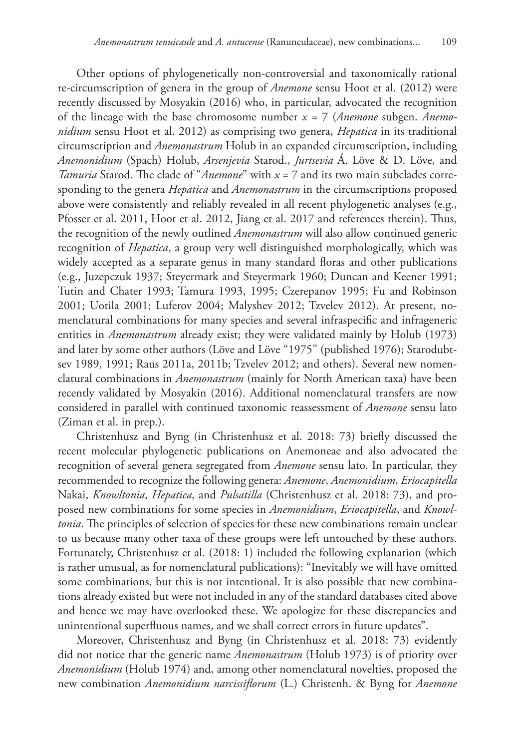Other options of phylogenetically non-controversial and taxonomically rational re-circumscription of genera in the group of *Anemone* sensu Hoot et al. (2012) were recently discussed by Mosyakin (2016) who, in particular, advocated the recognition of the lineage with the base chromosome number *x* = 7 (*Anemone* subgen. *Anemonidium* sensu Hoot et al. 2012) as comprising two genera, *Hepatica* in its traditional circumscription and *Anemonastrum* Holub in an expanded circumscription, including *Anemonidium* (Spach) Holub, *Arsenjevia* Starod., *Jurtsevia* Á. Löve & D. Löve*,* and *Tamuria* Starod. The clade of "*Anemone*" with *x* = 7 and its two main subclades corresponding to the genera *Hepatica* and *Anemonastrum* in the circumscriptions proposed above were consistently and reliably revealed in all recent phylogenetic analyses (e.g., Pfosser et al. 2011, Hoot et al. 2012, Jiang et al. 2017 and references therein). Thus, the recognition of the newly outlined *Anemonastrum* will also allow continued generic recognition of *Hepatica*, a group very well distinguished morphologically, which was widely accepted as a separate genus in many standard floras and other publications (e.g., Juzepczuk 1937; Steyermark and Steyermark 1960; Duncan and Keener 1991; Tutin and Chater 1993; Tamura 1993, 1995; Czerepanov 1995; Fu and Robinson 2001; Uotila 2001; Luferov 2004; Malyshev 2012; Tzvelev 2012). At present, nomenclatural combinations for many species and several infraspecific and infrageneric entities in *Anemonastrum* already exist; they were validated mainly by Holub (1973) and later by some other authors (Löve and Löve "1975" (published 1976); Starodubtsev 1989, 1991; Raus 2011a, 2011b; Tzvelev 2012; and others). Several new nomenclatural combinations in *Anemonastrum* (mainly for North American taxa) have been recently validated by Mosyakin (2016). Additional nomenclatural transfers are now considered in parallel with continued taxonomic reassessment of *Anemone* sensu lato (Ziman et al. in prep.).

Christenhusz and Byng (in Christenhusz et al. 2018: 73) briefly discussed the recent molecular phylogenetic publications on Anemoneae and also advocated the recognition of several genera segregated from *Anemone* sensu lato. In particular, they recommended to recognize the following genera: *Anemone*, *Anemonidium*, *Eriocapitella* Nakai, *Knowltonia*, *Hepatica*, and *Pulsatilla* (Christenhusz et al. 2018: 73), and proposed new combinations for some species in *Anemonidium*, *Eriocapitella*, and *Knowltonia*. The principles of selection of species for these new combinations remain unclear to us because many other taxa of these groups were left untouched by these authors. Fortunately, Christenhusz et al. (2018: 1) included the following explanation (which is rather unusual, as for nomenclatural publications): "Inevitably we will have omitted some combinations, but this is not intentional. It is also possible that new combinations already existed but were not included in any of the standard databases cited above and hence we may have overlooked these. We apologize for these discrepancies and unintentional superfluous names, and we shall correct errors in future updates".

Moreover, Christenhusz and Byng (in Christenhusz et al. 2018: 73) evidently did not notice that the generic name *Anemonastrum* (Holub 1973) is of priority over *Anemonidium* (Holub 1974) and, among other nomenclatural novelties, proposed the new combination *Anemonidium narcissiflorum* (L.) Christenh. & Byng for *Anemone*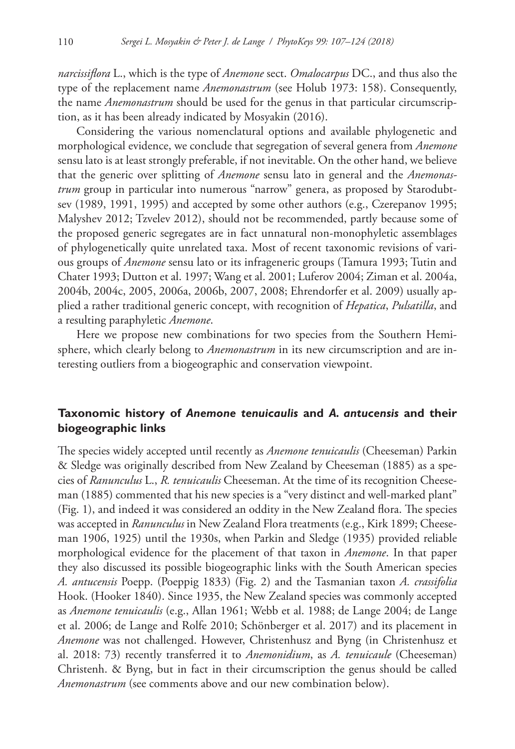*narcissiflora* L., which is the type of *Anemone* sect. *Omalocarpus* DC., and thus also the type of the replacement name *Anemonastrum* (see Holub 1973: 158). Consequently, the name *Anemonastrum* should be used for the genus in that particular circumscription, as it has been already indicated by Mosyakin (2016).

Considering the various nomenclatural options and available phylogenetic and morphological evidence, we conclude that segregation of several genera from *Anemone* sensu lato is at least strongly preferable, if not inevitable. On the other hand, we believe that the generic over splitting of *Anemone* sensu lato in general and the *Anemonastrum* group in particular into numerous "narrow" genera, as proposed by Starodubtsev (1989, 1991, 1995) and accepted by some other authors (e.g., Czerepanov 1995; Malyshev 2012; Tzvelev 2012), should not be recommended, partly because some of the proposed generic segregates are in fact unnatural non-monophyletic assemblages of phylogenetically quite unrelated taxa. Most of recent taxonomic revisions of various groups of *Anemone* sensu lato or its infrageneric groups (Tamura 1993; Tutin and Chater 1993; Dutton et al. 1997; Wang et al. 2001; Luferov 2004; Ziman et al. 2004a, 2004b, 2004c, 2005, 2006a, 2006b, 2007, 2008; Ehrendorfer et al. 2009) usually applied a rather traditional generic concept, with recognition of *Hepatica*, *Pulsatilla*, and a resulting paraphyletic *Anemone*.

Here we propose new combinations for two species from the Southern Hemisphere, which clearly belong to *Anemonastrum* in its new circumscription and are interesting outliers from a biogeographic and conservation viewpoint.

# **Taxonomic history of** *Anemone tenuicaulis* **and** *A. antucensis* **and their biogeographic links**

The species widely accepted until recently as *Anemone tenuicaulis* (Cheeseman) Parkin & Sledge was originally described from New Zealand by Cheeseman (1885) as a species of *Ranunculus* L., *R. tenuicaulis* Cheeseman. At the time of its recognition Cheeseman (1885) commented that his new species is a "very distinct and well-marked plant" (Fig. 1), and indeed it was considered an oddity in the New Zealand flora. The species was accepted in *Ranunculus* in New Zealand Flora treatments (e.g., Kirk 1899; Cheeseman 1906, 1925) until the 1930s, when Parkin and Sledge (1935) provided reliable morphological evidence for the placement of that taxon in *Anemone*. In that paper they also discussed its possible biogeographic links with the South American species *A. antucensis* Poepp. (Poeppig 1833) (Fig. 2) and the Tasmanian taxon *A. crassifolia*  Hook. (Hooker 1840). Since 1935, the New Zealand species was commonly accepted as *Anemone tenuicaulis* (e.g., Allan 1961; Webb et al. 1988; de Lange 2004; de Lange et al. 2006; de Lange and Rolfe 2010; Schönberger et al. 2017) and its placement in *Anemone* was not challenged. However, Christenhusz and Byng (in Christenhusz et al. 2018: 73) recently transferred it to *Anemonidium*, as *A. tenuicaule* (Cheeseman) Christenh. & Byng, but in fact in their circumscription the genus should be called *Anemonastrum* (see comments above and our new combination below).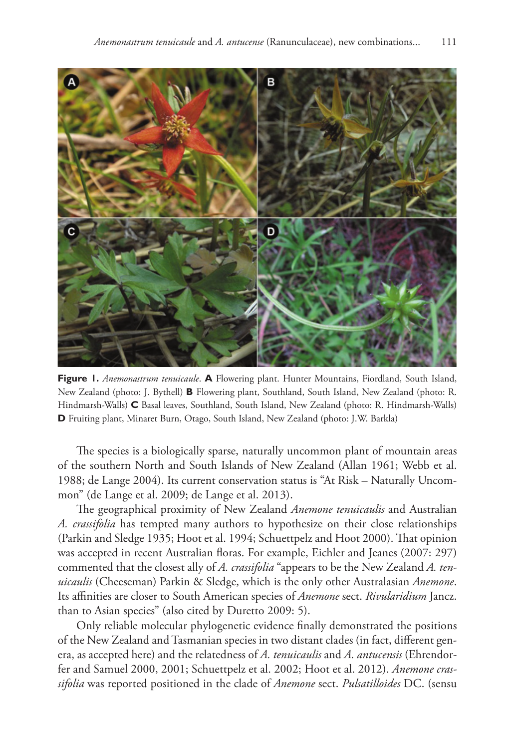

**Figure 1.** *Anemonastrum tenuicaule*. **A** Flowering plant. Hunter Mountains, Fiordland, South Island, New Zealand (photo: J. Bythell) **B** Flowering plant, Southland, South Island, New Zealand (photo: R. Hindmarsh-Walls) **C** Basal leaves, Southland, South Island, New Zealand (photo: R. Hindmarsh-Walls) **D** Fruiting plant, Minaret Burn, Otago, South Island, New Zealand (photo: J.W. Barkla)

The species is a biologically sparse, naturally uncommon plant of mountain areas of the southern North and South Islands of New Zealand (Allan 1961; Webb et al. 1988; de Lange 2004). Its current conservation status is "At Risk – Naturally Uncommon" (de Lange et al. 2009; de Lange et al. 2013).

The geographical proximity of New Zealand *Anemone tenuicaulis* and Australian *A. crassifolia* has tempted many authors to hypothesize on their close relationships (Parkin and Sledge 1935; Hoot et al. 1994; Schuettpelz and Hoot 2000). That opinion was accepted in recent Australian floras. For example, Eichler and Jeanes (2007: 297) commented that the closest ally of *A. crassifolia* "appears to be the New Zealand *A. tenuicaulis* (Cheeseman) Parkin & Sledge, which is the only other Australasian *Anemone*. Its affinities are closer to South American species of *Anemone* sect. *Rivularidium* Jancz. than to Asian species" (also cited by Duretto 2009: 5).

Only reliable molecular phylogenetic evidence finally demonstrated the positions of the New Zealand and Tasmanian species in two distant clades (in fact, different genera, as accepted here) and the relatedness of *A. tenuicaulis* and *A. antucensis* (Ehrendorfer and Samuel 2000, 2001; Schuettpelz et al. 2002; Hoot et al. 2012). *Anemone crassifolia* was reported positioned in the clade of *Anemone* sect. *Pulsatilloides* DC. (sensu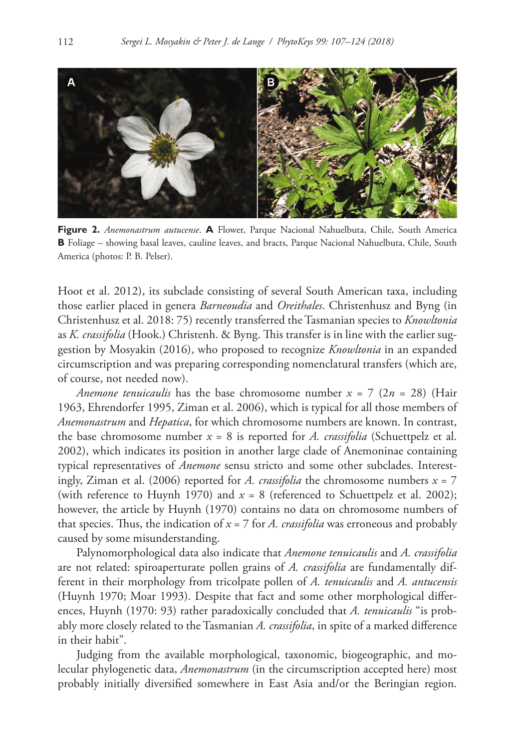

**Figure 2.** *Anemonastrum autucense*. **A** Flower, Parque Nacional Nahuelbuta, Chile, South America **B** Foliage – showing basal leaves, cauline leaves, and bracts, Parque Nacional Nahuelbuta, Chile, South America (photos: P. B. Pelser).

Hoot et al. 2012), its subclade consisting of several South American taxa, including those earlier placed in genera *Barneoudia* and *Oreithales*. Christenhusz and Byng (in Christenhusz et al. 2018: 75) recently transferred the Tasmanian species to *Knowltonia* as *K. crassifolia* (Hook.) Christenh. & Byng. This transfer is in line with the earlier suggestion by Mosyakin (2016), who proposed to recognize *Knowltonia* in an expanded circumscription and was preparing corresponding nomenclatural transfers (which are, of course, not needed now).

*Anemone tenuicaulis* has the base chromosome number  $x = 7$  ( $2n = 28$ ) (Hair 1963, Ehrendorfer 1995, Ziman et al. 2006), which is typical for all those members of *Anemonastrum* and *Hepatica*, for which chromosome numbers are known. In contrast, the base chromosome number  $x = 8$  is reported for *A. crassifolia* (Schuettpelz et al. 2002), which indicates its position in another large clade of Anemoninae containing typical representatives of *Anemone* sensu stricto and some other subclades. Interestingly, Ziman et al. (2006) reported for *A. crassifolia* the chromosome numbers  $x = 7$ (with reference to Huynh 1970) and  $x = 8$  (referenced to Schuettpelz et al. 2002); however, the article by Huynh (1970) contains no data on chromosome numbers of that species. Thus, the indication of *x* = 7 for *A. crassifolia* was erroneous and probably caused by some misunderstanding.

Palynomorphological data also indicate that *Anemone tenuicaulis* and *A. crassifolia* are not related: spiroaperturate pollen grains of *A. crassifolia* are fundamentally different in their morphology from tricolpate pollen of *A. tenuicaulis* and *A. antucensis* (Huynh 1970; Moar 1993). Despite that fact and some other morphological differences, Huynh (1970: 93) rather paradoxically concluded that *A. tenuicaulis* "is probably more closely related to the Tasmanian *A. crassifolia*, in spite of a marked difference in their habit".

Judging from the available morphological, taxonomic, biogeographic, and molecular phylogenetic data, *Anemonastrum* (in the circumscription accepted here) most probably initially diversified somewhere in East Asia and/or the Beringian region.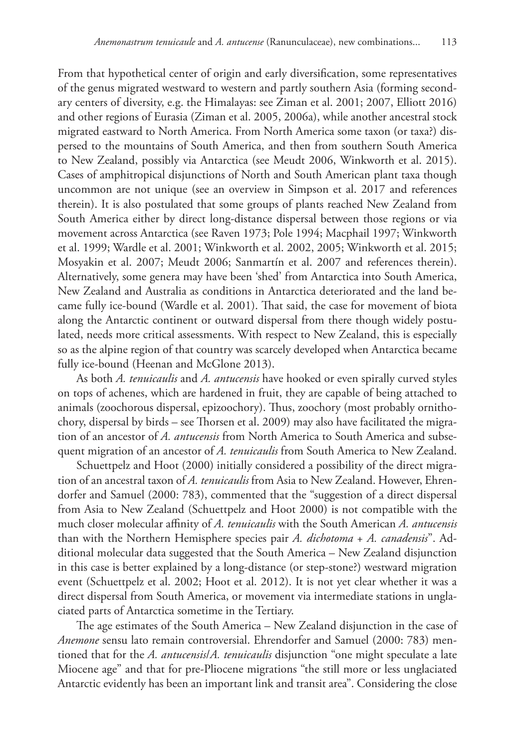From that hypothetical center of origin and early diversification, some representatives of the genus migrated westward to western and partly southern Asia (forming secondary centers of diversity, e.g. the Himalayas: see Ziman et al. 2001; 2007, Elliott 2016) and other regions of Eurasia (Ziman et al. 2005, 2006a), while another ancestral stock migrated eastward to North America. From North America some taxon (or taxa?) dispersed to the mountains of South America, and then from southern South America to New Zealand, possibly via Antarctica (see Meudt 2006, Winkworth et al. 2015). Cases of amphitropical disjunctions of North and South American plant taxa though uncommon are not unique (see an overview in Simpson et al. 2017 and references therein). It is also postulated that some groups of plants reached New Zealand from South America either by direct long-distance dispersal between those regions or via movement across Antarctica (see Raven 1973; Pole 1994; Macphail 1997; Winkworth et al. 1999; Wardle et al. 2001; Winkworth et al. 2002, 2005; Winkworth et al. 2015; Mosyakin et al. 2007; Meudt 2006; Sanmartín et al. 2007 and references therein). Alternatively, some genera may have been 'shed' from Antarctica into South America, New Zealand and Australia as conditions in Antarctica deteriorated and the land became fully ice-bound (Wardle et al. 2001). That said, the case for movement of biota along the Antarctic continent or outward dispersal from there though widely postulated, needs more critical assessments. With respect to New Zealand, this is especially so as the alpine region of that country was scarcely developed when Antarctica became fully ice-bound (Heenan and McGlone 2013).

As both *A. tenuicaulis* and *A. antucensis* have hooked or even spirally curved styles on tops of achenes, which are hardened in fruit, they are capable of being attached to animals (zoochorous dispersal, epizoochory). Thus, zoochory (most probably ornithochory, dispersal by birds – see Thorsen et al. 2009) may also have facilitated the migration of an ancestor of *A. antucensis* from North America to South America and subsequent migration of an ancestor of *A. tenuicaulis* from South America to New Zealand.

Schuettpelz and Hoot (2000) initially considered a possibility of the direct migration of an ancestral taxon of *A. tenuicaulis* from Asia to New Zealand. However, Ehrendorfer and Samuel (2000: 783), commented that the "suggestion of a direct dispersal from Asia to New Zealand (Schuettpelz and Hoot 2000) is not compatible with the much closer molecular affinity of *A. tenuicaulis* with the South American *A. antucensis* than with the Northern Hemisphere species pair *A. dichotoma* + *A. canadensis*". Additional molecular data suggested that the South America – New Zealand disjunction in this case is better explained by a long-distance (or step-stone?) westward migration event (Schuettpelz et al. 2002; Hoot et al. 2012). It is not yet clear whether it was a direct dispersal from South America, or movement via intermediate stations in unglaciated parts of Antarctica sometime in the Tertiary.

The age estimates of the South America – New Zealand disjunction in the case of *Anemone* sensu lato remain controversial. Ehrendorfer and Samuel (2000: 783) mentioned that for the *A. antucensis*/*A. tenuicaulis* disjunction "one might speculate a late Miocene age" and that for pre-Pliocene migrations "the still more or less unglaciated Antarctic evidently has been an important link and transit area". Considering the close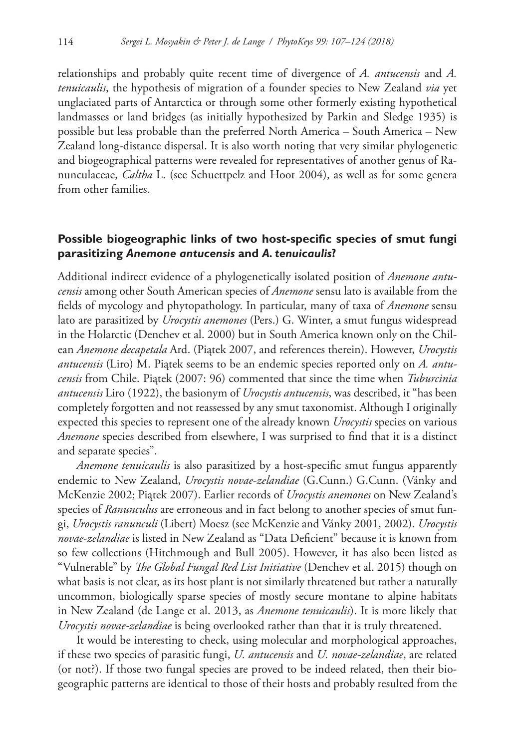relationships and probably quite recent time of divergence of *A. antucensis* and *A. tenuicaulis*, the hypothesis of migration of a founder species to New Zealand *via* yet unglaciated parts of Antarctica or through some other formerly existing hypothetical landmasses or land bridges (as initially hypothesized by Parkin and Sledge 1935) is possible but less probable than the preferred North America – South America – New Zealand long-distance dispersal. It is also worth noting that very similar phylogenetic and biogeographical patterns were revealed for representatives of another genus of Ranunculaceae, *Caltha* L. (see Schuettpelz and Hoot 2004), as well as for some genera from other families.

## **Possible biogeographic links of two host-specific species of smut fungi parasitizing** *Anemone antucensis* **and** *A. tenuicaulis***?**

Additional indirect evidence of a phylogenetically isolated position of *Anemone antucensis* among other South American species of *Anemone* sensu lato is available from the fields of mycology and phytopathology. In particular, many of taxa of *Anemone* sensu lato are parasitized by *Urocystis anemones* (Pers.) G. Winter, a smut fungus widespread in the Holarctic (Denchev et al. 2000) but in South America known only on the Chilean *Anemone decapetala* Ard. (Piątek 2007, and references therein). However, *Urocystis antucensis* (Liro) M. Piątek seems to be an endemic species reported only on *A. antucensis* from Chile. Piątek (2007: 96) commented that since the time when *Tuburcinia antucensis* Liro (1922), the basionym of *Urocystis antucensis*, was described, it "has been completely forgotten and not reassessed by any smut taxonomist. Although I originally expected this species to represent one of the already known *Urocystis* species on various *Anemone* species described from elsewhere, I was surprised to find that it is a distinct and separate species".

*Anemone tenuicaulis* is also parasitized by a host-specific smut fungus apparently endemic to New Zealand, *Urocystis novae-zelandiae* (G.Cunn.) G.Cunn. (Vánky and McKenzie 2002; Piątek 2007). Earlier records of *Urocystis anemones* on New Zealand's species of *Ranunculus* are erroneous and in fact belong to another species of smut fungi, *Urocystis ranunculi* (Libert) Moesz (see McKenzie and Vánky 2001, 2002). *Urocystis novae-zelandiae* is listed in New Zealand as "Data Deficient" because it is known from so few collections (Hitchmough and Bull 2005). However, it has also been listed as "Vulnerable" by *The Global Fungal Red List Initiative* (Denchev et al. 2015) though on what basis is not clear, as its host plant is not similarly threatened but rather a naturally uncommon, biologically sparse species of mostly secure montane to alpine habitats in New Zealand (de Lange et al. 2013, as *Anemone tenuicaulis*). It is more likely that *Urocystis novae-zelandiae* is being overlooked rather than that it is truly threatened.

It would be interesting to check, using molecular and morphological approaches, if these two species of parasitic fungi, *U. antucensis* and *U. novae-zelandiae*, are related (or not?). If those two fungal species are proved to be indeed related, then their biogeographic patterns are identical to those of their hosts and probably resulted from the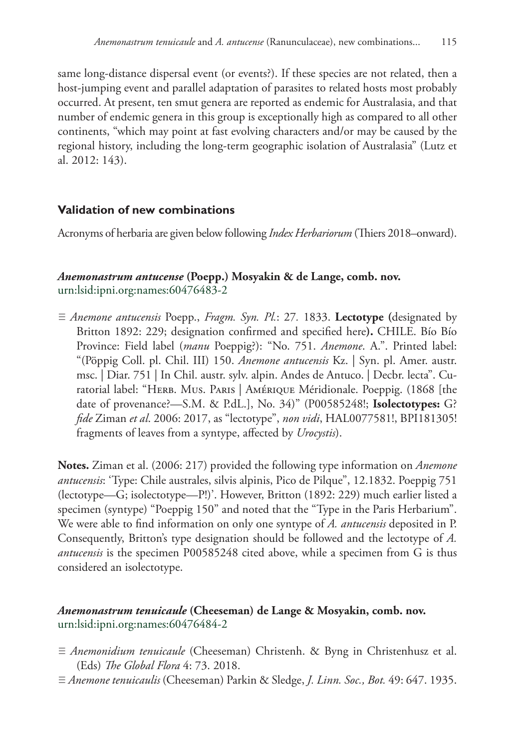same long-distance dispersal event (or events?). If these species are not related, then a host-jumping event and parallel adaptation of parasites to related hosts most probably occurred. At present, ten smut genera are reported as endemic for Australasia, and that number of endemic genera in this group is exceptionally high as compared to all other continents, "which may point at fast evolving characters and/or may be caused by the regional history, including the long-term geographic isolation of Australasia" (Lutz et al. 2012: 143).

# **Validation of new combinations**

Acronyms of herbaria are given below following *Index Herbariorum* (Thiers 2018–onward).

## *Anemonastrum antucense* **(Poepp.) Mosyakin & de Lange, comb. nov.** [urn:lsid:ipni.org:names:60476483-2](http://ipni.org/urn:lsid:ipni.org:names:60476483-2)

≡ *Anemone antucensis* Poepp., *Fragm. Syn. Pl.*: 27*.* 1833. **Lectotype (**designated by Britton 1892: 229; designation confirmed and specified here**).** CHILE. Bío Bío Province: Field label (*manu* Poeppig?): "No. 751. *Anemone*. A.". Printed label: "(Pöppig Coll. pl. Chil. III) 150. *Anemone antucensis* Kz. | Syn. pl. Amer. austr. msc. | Diar. 751 | In Chil. austr. sylv. alpin. Andes de Antuco. | Decbr. lecta". Curatorial label: "Herb. Mus. Paris | Amérique Méridionale. Poeppig. (1868 [the date of provenance?—S.M. & P.dL.], No. 34)" (P00585248!; **Isolectotypes:** G? *fide* Ziman *et al*. 2006: 2017, as "lectotype", *non vidi*, HAL0077581!, BPI181305! fragments of leaves from a syntype, affected by *Urocystis*).

**Notes.** Ziman et al. (2006: 217) provided the following type information on *Anemone antucensis*: 'Type: Chile australes, silvis alpinis, Pico de Pilque", 12.1832. Poeppig 751 (lectotype—G; isolectotype—P!)'. However, Britton (1892: 229) much earlier listed a specimen (syntype) "Poeppig 150" and noted that the "Type in the Paris Herbarium". We were able to find information on only one syntype of *A. antucensis* deposited in P. Consequently, Britton's type designation should be followed and the lectotype of *A. antucensis* is the specimen P00585248 cited above, while a specimen from G is thus considered an isolectotype.

## *Anemonastrum tenuicaule* **(Cheeseman) de Lange & Mosyakin, comb. nov.** [urn:lsid:ipni.org:names:60476484-2](http://ipni.org/urn:lsid:ipni.org:names:60476484-2)

- ≡ *Anemonidium tenuicaule* (Cheeseman) Christenh. & Byng in Christenhusz et al. (Eds) *The Global Flora* 4: 73. 2018.
- ≡ *Anemone tenuicaulis* (Cheeseman) Parkin & Sledge, *J. Linn. Soc., Bot.* 49: 647. 1935.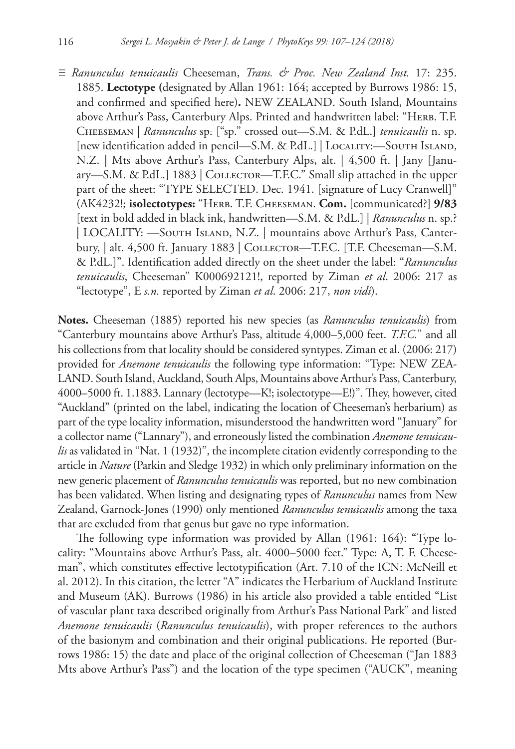≡ *Ranunculus tenuicaulis* Cheeseman, *Trans. & Proc. New Zealand Inst.* 17: 235. 1885. **Lectotype (**designated by Allan 1961: 164; accepted by Burrows 1986: 15, and confirmed and specified here)**.** NEW ZEALAND. South Island, Mountains above Arthur's Pass, Canterbury Alps. Printed and handwritten label: "HERB. T.F. Cheeseman | *Ranunculus* sp. ["sp." crossed out—S.M. & P.dL.] *tenuicaulis* n. sp. [new identification added in pencil—S.M. & P.dL.] | Locality:—South Island, N.Z. | Mts above Arthur's Pass, Canterbury Alps, alt. | 4,500 ft. | Jany [January—S.M. & P.dL.] 1883 | COLLECTOR—T.F.C." Small slip attached in the upper part of the sheet: "TYPE SELECTED. Dec. 1941. [signature of Lucy Cranwell]" (AK4232!; **isolectotypes:** "Herb. T.F. Cheeseman. **Com.** [communicated?] **9/83** [text in bold added in black ink, handwritten—S.M. & P.dL.] | *Ranunculus* n. sp.? | LOCALITY: —South Island, N.Z. | mountains above Arthur's Pass, Canterbury, | alt. 4,500 ft. January 1883 | COLLECTOR—T.F.C. [T.F. Cheeseman—S.M. & P.dL.]". Identification added directly on the sheet under the label: "*Ranunculus tenuicaulis*, Cheeseman" K000692121!, reported by Ziman *et al*. 2006: 217 as "lectotype", E *s.n.* reported by Ziman *et al*. 2006: 217, *non vidi*).

**Notes.** Cheeseman (1885) reported his new species (as *Ranunculus tenuicaulis*) from "Canterbury mountains above Arthur's Pass, altitude 4,000–5,000 feet. *T.F.C.*" and all his collections from that locality should be considered syntypes. Ziman et al. (2006: 217) provided for *Anemone tenuicaulis* the following type information: "Type: NEW ZEA-LAND. South Island, Auckland, South Alps, Mountains above Arthur's Pass, Canterbury, 4000–5000 ft. 1.1883. Lannary (lectotype—K!; isolectotype—E!)". They, however, cited "Auckland" (printed on the label, indicating the location of Cheeseman's herbarium) as part of the type locality information, misunderstood the handwritten word "January" for a collector name ("Lannary"), and erroneously listed the combination *Anemone tenuicaulis* as validated in "Nat. 1 (1932)", the incomplete citation evidently corresponding to the article in *Nature* (Parkin and Sledge 1932) in which only preliminary information on the new generic placement of *Ranunculus tenuicaulis* was reported, but no new combination has been validated. When listing and designating types of *Ranunculus* names from New Zealand, Garnock-Jones (1990) only mentioned *Ranunculus tenuicaulis* among the taxa that are excluded from that genus but gave no type information.

The following type information was provided by Allan (1961: 164): "Type locality: "Mountains above Arthur's Pass, alt. 4000–5000 feet." Type: A, T. F. Cheeseman", which constitutes effective lectotypification (Art. 7.10 of the ICN: McNeill et al. 2012). In this citation, the letter "A" indicates the Herbarium of Auckland Institute and Museum (AK). Burrows (1986) in his article also provided a table entitled "List of vascular plant taxa described originally from Arthur's Pass National Park" and listed *Anemone tenuicaulis* (*Ranunculus tenuicaulis*), with proper references to the authors of the basionym and combination and their original publications. He reported (Burrows 1986: 15) the date and place of the original collection of Cheeseman ("Jan 1883 Mts above Arthur's Pass") and the location of the type specimen ("AUCK", meaning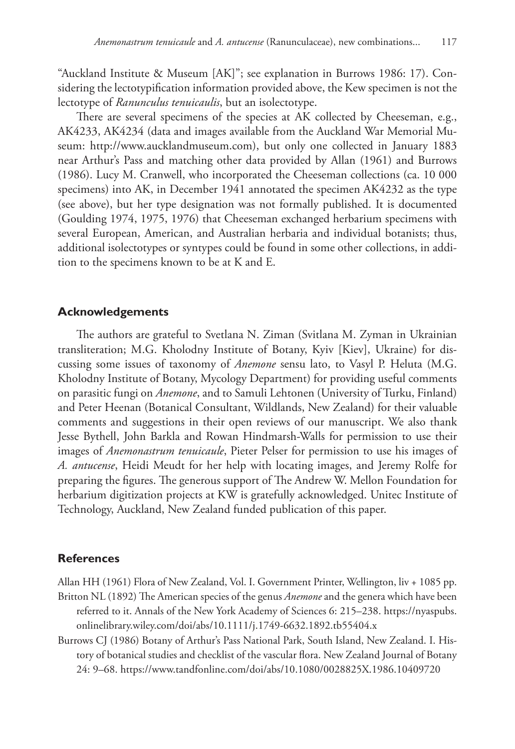"Auckland Institute & Museum [AK]"; see explanation in Burrows 1986: 17). Considering the lectotypification information provided above, the Kew specimen is not the lectotype of *Ranunculus tenuicaulis*, but an isolectotype.

There are several specimens of the species at AK collected by Cheeseman, e.g., AK4233, AK4234 (data and images available from the Auckland War Memorial Museum: <http://www.aucklandmuseum.com>), but only one collected in January 1883 near Arthur's Pass and matching other data provided by Allan (1961) and Burrows (1986). Lucy M. Cranwell, who incorporated the Cheeseman collections (ca. 10 000 specimens) into AK, in December 1941 annotated the specimen AK4232 as the type (see above), but her type designation was not formally published. It is documented (Goulding 1974, 1975, 1976) that Cheeseman exchanged herbarium specimens with several European, American, and Australian herbaria and individual botanists; thus, additional isolectotypes or syntypes could be found in some other collections, in addition to the specimens known to be at K and E.

#### **Acknowledgements**

The authors are grateful to Svetlana N. Ziman (Svitlana M. Zyman in Ukrainian transliteration; M.G. Kholodny Institute of Botany, Kyiv [Kiev], Ukraine) for discussing some issues of taxonomy of *Anemone* sensu lato, to Vasyl P. Heluta (M.G. Kholodny Institute of Botany, Mycology Department) for providing useful comments on parasitic fungi on *Anemone*, and to Samuli Lehtonen (University of Turku, Finland) and Peter Heenan (Botanical Consultant, Wildlands, New Zealand) for their valuable comments and suggestions in their open reviews of our manuscript. We also thank Jesse Bythell, John Barkla and Rowan Hindmarsh-Walls for permission to use their images of *Anemonastrum tenuicaule*, Pieter Pelser for permission to use his images of *A. antucense*, Heidi Meudt for her help with locating images, and Jeremy Rolfe for preparing the figures. The generous support of The Andrew W. Mellon Foundation for herbarium digitization projects at KW is gratefully acknowledged. Unitec Institute of Technology, Auckland, New Zealand funded publication of this paper.

#### **References**

Allan HH (1961) Flora of New Zealand, Vol. I. Government Printer, Wellington, liv + 1085 pp. Britton NL (1892) The American species of the genus *Anemone* and the genera which have been referred to it. Annals of the New York Academy of Sciences 6: 215–238. [https://nyaspubs.](https://nyaspubs.onlinelibrary.wiley.com/doi/abs/10.1111/j.1749-6632.1892.tb55404.x) [onlinelibrary.wiley.com/doi/abs/10.1111/j.1749-6632.1892.tb55404.x](https://nyaspubs.onlinelibrary.wiley.com/doi/abs/10.1111/j.1749-6632.1892.tb55404.x)

Burrows CJ (1986) Botany of Arthur's Pass National Park, South Island, New Zealand. I. History of botanical studies and checklist of the vascular flora. New Zealand Journal of Botany 24: 9–68.<https://www.tandfonline.com/doi/abs/10.1080/0028825X.1986.10409720>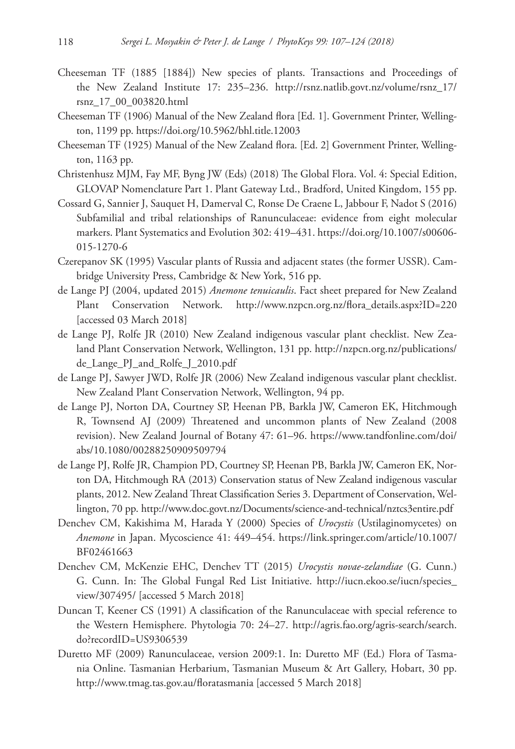- Cheeseman TF (1885 [1884]) New species of plants. Transactions and Proceedings of the New Zealand Institute 17: 235–236. [http://rsnz.natlib.govt.nz/volume/rsnz\\_17/](http://rsnz.natlib.govt.nz/volume/rsnz_17/rsnz_17_00_003820.html) [rsnz\\_17\\_00\\_003820.html](http://rsnz.natlib.govt.nz/volume/rsnz_17/rsnz_17_00_003820.html)
- Cheeseman TF (1906) Manual of the New Zealand flora [Ed. 1]. Government Printer, Wellington, 1199 pp. <https://doi.org/10.5962/bhl.title.12003>
- Cheeseman TF (1925) Manual of the New Zealand flora. [Ed. 2] Government Printer, Wellington, 1163 pp.
- Christenhusz MJM, Fay MF, Byng JW (Eds) (2018) The Global Flora. Vol. 4: Special Edition, GLOVAP Nomenclature Part 1. Plant Gateway Ltd., Bradford, United Kingdom, 155 pp.
- Cossard G, Sannier J, Sauquet H, Damerval C, Ronse De Craene L, Jabbour F, Nadot S (2016) Subfamilial and tribal relationships of Ranunculaceae: evidence from eight molecular markers. Plant Systematics and Evolution 302: 419–431. [https://doi.org/10.1007/s00606-](https://doi.org/10.1007/s00606-015-1270-6) [015-1270-6](https://doi.org/10.1007/s00606-015-1270-6)
- Czerepanov SK (1995) Vascular plants of Russia and adjacent states (the former USSR). Cambridge University Press, Cambridge & New York, 516 pp.
- de Lange PJ (2004, updated 2015) *Anemone tenuicaulis*. Fact sheet prepared for New Zealand Plant Conservation Network. [http://www.nzpcn.org.nz/flora\\_details.aspx?ID=220](http://www.nzpcn.org.nz/flora_details.aspx?ID=220) [accessed 03 March 2018]
- de Lange PJ, Rolfe JR (2010) New Zealand indigenous vascular plant checklist. New Zealand Plant Conservation Network, Wellington, 131 pp. [http://nzpcn.org.nz/publications/](http://nzpcn.org.nz/publications/de_Lange_PJ_and_Rolfe_J_2010.pdf) [de\\_Lange\\_PJ\\_and\\_Rolfe\\_J\\_2010.pdf](http://nzpcn.org.nz/publications/de_Lange_PJ_and_Rolfe_J_2010.pdf)
- de Lange PJ, Sawyer JWD, Rolfe JR (2006) New Zealand indigenous vascular plant checklist. New Zealand Plant Conservation Network, Wellington, 94 pp.
- de Lange PJ, Norton DA, Courtney SP, Heenan PB, Barkla JW, Cameron EK, Hitchmough R, Townsend AJ (2009) Threatened and uncommon plants of New Zealand (2008 revision). New Zealand Journal of Botany 47: 61–96. [https://www.tandfonline.com/doi/](https://www.tandfonline.com/doi/abs/10.1080/00288250909509794) [abs/10.1080/00288250909509794](https://www.tandfonline.com/doi/abs/10.1080/00288250909509794)
- de Lange PJ, Rolfe JR, Champion PD, Courtney SP, Heenan PB, Barkla JW, Cameron EK, Norton DA, Hitchmough RA (2013) Conservation status of New Zealand indigenous vascular plants, 2012. New Zealand Threat Classification Series 3. Department of Conservation, Wellington, 70 pp.<http://www.doc.govt.nz/Documents/science-and-technical/nztcs3entire.pdf>
- Denchev CM, Kakishima M, Harada Y (2000) Species of *Urocystis* (Ustilaginomycetes) on *Anemone* in Japan. Mycoscience 41: 449–454. [https://link.springer.com/article/10.1007/](https://link.springer.com/article/10.1007/BF02461663) [BF02461663](https://link.springer.com/article/10.1007/BF02461663)
- Denchev CM, McKenzie EHC, Denchev TT (2015) *Urocystis novae-zelandiae* (G. Cunn.) G. Cunn. In: The Global Fungal Red List Initiative. [http://iucn.ekoo.se/iucn/species\\_](http://iucn.ekoo.se/iucn/species_view/307495/) [view/307495/](http://iucn.ekoo.se/iucn/species_view/307495/) [accessed 5 March 2018]
- Duncan T, Keener CS (1991) A classification of the Ranunculaceae with special reference to the Western Hemisphere. Phytologia 70: 24–27. [http://agris.fao.org/agris-search/search.](http://agris.fao.org/agris-search/search.do?recordID=US9306539) [do?recordID=US9306539](http://agris.fao.org/agris-search/search.do?recordID=US9306539)
- Duretto MF (2009) Ranunculaceae, version 2009:1. In: Duretto MF (Ed.) Flora of Tasmania Online. Tasmanian Herbarium, Tasmanian Museum & Art Gallery, Hobart, 30 pp. <http://www.tmag.tas.gov.au/floratasmania> [accessed 5 March 2018]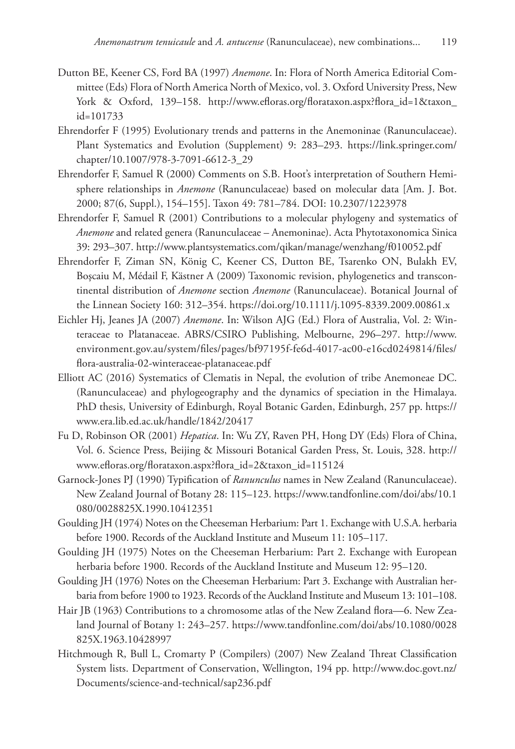- Dutton BE, Keener CS, Ford BA (1997) *Anemone*. In: Flora of North America Editorial Committee (Eds) Flora of North America North of Mexico, vol. 3. Oxford University Press, New York & Oxford, 139-158. [http://www.efloras.org/florataxon.aspx?flora\\_id=1&taxon\\_](http://www.efloras.org/florataxon.aspx?flora_id=1&taxon_id=101733) [id=101733](http://www.efloras.org/florataxon.aspx?flora_id=1&taxon_id=101733)
- Ehrendorfer F (1995) Evolutionary trends and patterns in the Anemoninae (Ranunculaceae). Plant Systematics and Evolution (Supplement) 9: 283–293. [https://link.springer.com/](https://link.springer.com/chapter/10.1007/978-3-7091-6612-3_29) [chapter/10.1007/978-3-7091-6612-3\\_29](https://link.springer.com/chapter/10.1007/978-3-7091-6612-3_29)
- Ehrendorfer F, Samuel R (2000) Comments on S.B. Hoot's interpretation of Southern Hemisphere relationships in *Anemone* (Ranunculaceae) based on molecular data [Am. J. Bot. 2000; 87(6, Suppl.), 154–155]. Taxon 49: 781–784. [DOI: 10.2307/1223978](https://doi.org/10.2307/1223978)
- Ehrendorfer F, Samuel R (2001) Contributions to a molecular phylogeny and systematics of *Anemone* and related genera (Ranunculaceae – Anemoninae). Acta Phytotaxonomica Sinica 39: 293–307. <http://www.plantsystematics.com/qikan/manage/wenzhang/f010052.pdf>
- Ehrendorfer F, Ziman SN, König C, Keener CS, Dutton BE, Tsarenko ON, Bulakh EV, Boşcaiu M, Médail F, Kästner A (2009) Taxonomic revision, phylogenetics and transcontinental distribution of *Anemone* section *Anemone* (Ranunculaceae). Botanical Journal of the Linnean Society 160: 312–354. <https://doi.org/10.1111/j.1095-8339.2009.00861.x>
- Eichler Hj, Jeanes JA (2007) *Anemone*. In: Wilson AJG (Ed.) Flora of Australia, Vol. 2: Winteraceae to Platanaceae. ABRS/CSIRO Publishing, Melbourne, 296–297. [http://www.](http://www.environment.gov.au/system/files/pages/bf97195f-fe6d-4017-ac00-e16cd0249814/files/flora-australia-02-winteraceae-platanaceae.pdf) [environment.gov.au/system/files/pages/bf97195f-fe6d-4017-ac00-e16cd0249814/files/](http://www.environment.gov.au/system/files/pages/bf97195f-fe6d-4017-ac00-e16cd0249814/files/flora-australia-02-winteraceae-platanaceae.pdf) [flora-australia-02-winteraceae-platanaceae.pdf](http://www.environment.gov.au/system/files/pages/bf97195f-fe6d-4017-ac00-e16cd0249814/files/flora-australia-02-winteraceae-platanaceae.pdf)
- Elliott AC (2016) Systematics of Clematis in Nepal, the evolution of tribe Anemoneae DC. (Ranunculaceae) and phylogeography and the dynamics of speciation in the Himalaya. PhD thesis, University of Edinburgh, Royal Botanic Garden, Edinburgh, 257 pp. [https://](https://www.era.lib.ed.ac.uk/handle/1842/20417) [www.era.lib.ed.ac.uk/handle/1842/20417](https://www.era.lib.ed.ac.uk/handle/1842/20417)
- Fu D, Robinson OR (2001) *Hepatica*. In: Wu ZY, Raven PH, Hong DY (Eds) Flora of China, Vol. 6. Science Press, Beijing & Missouri Botanical Garden Press, St. Louis, 328. [http://](http://www.efloras.org/florataxon.aspx?flora_id=2&taxon_id=115124) [www.efloras.org/florataxon.aspx?flora\\_id=2&taxon\\_id=115124](http://www.efloras.org/florataxon.aspx?flora_id=2&taxon_id=115124)
- Garnock-Jones PJ (1990) Typification of *Ranunculus* names in New Zealand (Ranunculaceae). New Zealand Journal of Botany 28: 115–123. [https://www.tandfonline.com/doi/abs/10.1](https://www.tandfonline.com/doi/abs/10.1080/0028825X.1990.10412351) [080/0028825X.1990.10412351](https://www.tandfonline.com/doi/abs/10.1080/0028825X.1990.10412351)
- Goulding JH (1974) Notes on the Cheeseman Herbarium: Part 1. Exchange with U.S.A. herbaria before 1900. Records of the Auckland Institute and Museum 11: 105–117.
- Goulding JH (1975) Notes on the Cheeseman Herbarium: Part 2. Exchange with European herbaria before 1900. Records of the Auckland Institute and Museum 12: 95–120.
- Goulding JH (1976) Notes on the Cheeseman Herbarium: Part 3. Exchange with Australian herbaria from before 1900 to 1923. Records of the Auckland Institute and Museum 13: 101–108.
- Hair JB (1963) Contributions to a chromosome atlas of the New Zealand flora—6. New Zealand Journal of Botany 1: 243–257. [https://www.tandfonline.com/doi/abs/10.1080/0028](https://www.tandfonline.com/doi/abs/10.1080/0028825X.1963.10428997) [825X.1963.10428997](https://www.tandfonline.com/doi/abs/10.1080/0028825X.1963.10428997)
- Hitchmough R, Bull L, Cromarty P (Compilers) (2007) New Zealand Threat Classification System lists. Department of Conservation, Wellington, 194 pp. [http://www.doc.govt.nz/](http://www.doc.govt.nz/Documents/science-and-technical/sap236.pdf) [Documents/science-and-technical/sap236.pdf](http://www.doc.govt.nz/Documents/science-and-technical/sap236.pdf)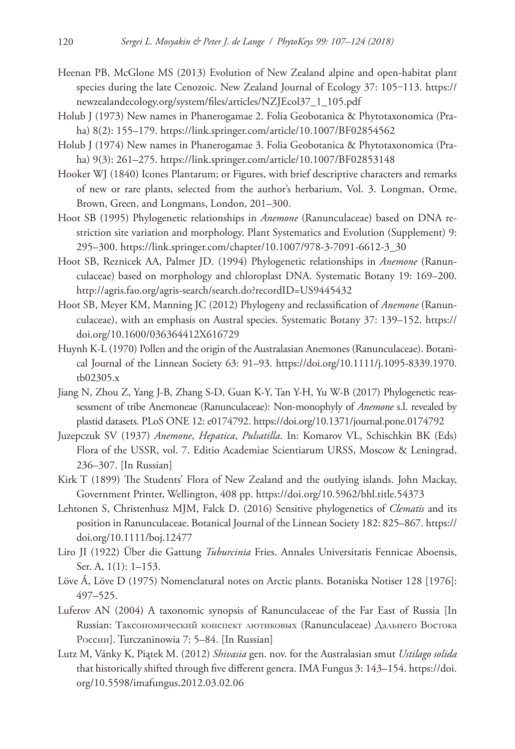- Heenan PB, McGlone MS (2013) Evolution of New Zealand alpine and open-habitat plant species during the late Cenozoic. New Zealand Journal of Ecology 37: 105-113. [https://](https://newzealandecology.org/system/files/articles/NZJEcol37_1_105.pdf) [newzealandecology.org/system/files/articles/NZJEcol37\\_1\\_105.pdf](https://newzealandecology.org/system/files/articles/NZJEcol37_1_105.pdf)
- Holub J (1973) New names in Phanerogamae 2. Folia Geobotanica & Phytotaxonomica (Praha) 8(2): 155–179. <https://link.springer.com/article/10.1007/BF02854562>
- Holub J (1974) New names in Phanerogamae 3. Folia Geobotanica & Phytotaxonomica (Praha) 9(3): 261–275. <https://link.springer.com/article/10.1007/BF02853148>
- Hooker WJ (1840) Icones Plantarum; or Figures, with brief descriptive characters and remarks of new or rare plants, selected from the author's herbarium, Vol. 3. Longman, Orme, Brown, Green, and Longmans, London, 201–300.
- Hoot SB (1995) Phylogenetic relationships in *Anemone* (Ranunculaceae) based on DNA restriction site variation and morphology. Plant Systematics and Evolution (Supplement) 9: 295–300. [https://link.springer.com/chapter/10.1007/978-3-7091-6612-3\\_30](https://link.springer.com/chapter/10.1007/978-3-7091-6612-3_30)
- Hoot SB, Reznicek AA, Palmer JD. (1994) Phylogenetic relationships in *Anemone* (Ranunculaceae) based on morphology and chloroplast DNA. Systematic Botany 19: 169–200. <http://agris.fao.org/agris-search/search.do?recordID=US9445432>
- Hoot SB, Meyer KM, Manning JC (2012) Phylogeny and reclassification of *Anemone* (Ranunculaceae), with an emphasis on Austral species. Systematic Botany 37: 139–152. [https://](https://doi.org/10.1600/036364412X616729) [doi.org/10.1600/036364412X616729](https://doi.org/10.1600/036364412X616729)
- Huynh K-L (1970) Pollen and the origin of the Australasian Anemones (Ranunculaceae). Botanical Journal of the Linnean Society 63: 91–93. [https://doi.org/10.1111/j.1095-8339.1970.](https://doi.org/10.1111/j.1095-8339.1970.tb02305.x) [tb02305.x](https://doi.org/10.1111/j.1095-8339.1970.tb02305.x)
- Jiang N, Zhou Z, Yang J-B, Zhang S-D, Guan K-Y, Tan Y-H, Yu W-B (2017) Phylogenetic reassessment of tribe Anemoneae (Ranunculaceae): Non-monophyly of *Anemone* s.l. revealed by plastid datasets. PLoS ONE 12: e0174792.<https://doi.org/10.1371/journal.pone.0174792>
- Juzepczuk SV (1937) *Anemone*, *Hepatica*, *Pulsatilla*. In: Komarov VL, Schischkin BK (Eds) Flora of the USSR, vol. 7. Editio Academiae Scientiarum URSS, Moscow & Leningrad, 236–307. [In Russian]
- Kirk T (1899) The Students' Flora of New Zealand and the outlying islands. John Mackay, Government Printer, Wellington, 408 pp. <https://doi.org/10.5962/bhl.title.54373>
- Lehtonen S, Christenhusz MJM, Falck D. (2016) Sensitive phylogenetics of *Clematis* and its position in Ranunculaceae. Botanical Journal of the Linnean Society 182: 825–867. [https://](https://doi.org/10.1111/boj.12477) [doi.org/10.1111/boj.12477](https://doi.org/10.1111/boj.12477)
- Liro JI (1922) Über die Gattung *Tuburcinia* Fries. Annales Universitatis Fennicae Aboensis, Ser. A, 1(1): 1–153.
- Löve Á, Löve D (1975) Nomenclatural notes on Arctic plants. Botaniska Notiser 128 [1976]: 497–525.
- Luferov AN (2004) A taxonomic synopsis of Ranunculaceae of the Far East of Russia [In Russian: Таксономический конспект лютиковых (Ranunculaceae) Дальнего Востока России]. Turczaninowia 7: 5–84. [In Russian]
- Lutz M, Vánky K, Piątek M. (2012) *Shivasia* gen. nov. for the Australasian smut *Ustilago solida* that historically shifted through five different genera. IMA Fungus 3: 143–154. [https://doi.](https://doi.org/10.5598/imafungus.2012.03.02.06) [org/10.5598/imafungus.2012.03.02.06](https://doi.org/10.5598/imafungus.2012.03.02.06)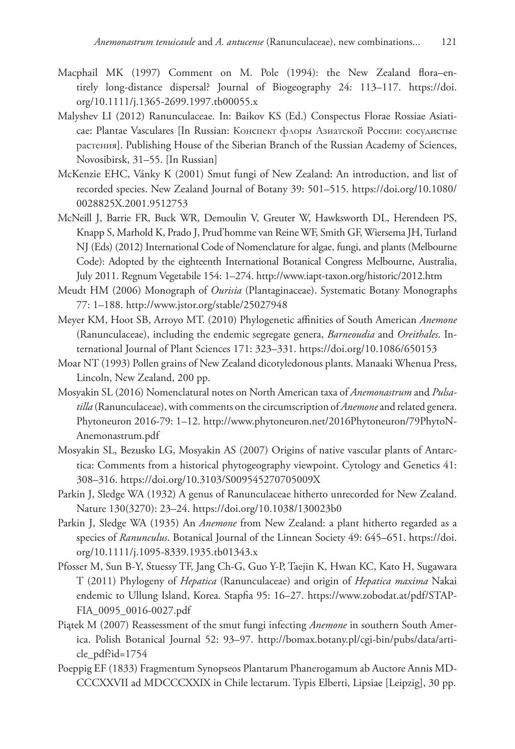- Macphail MK (1997) Comment on M. Pole (1994): the New Zealand flora–entirely long-distance dispersal? Journal of Biogeography 24: 113–117. [https://doi.](https://doi.org/10.1111/j.1365-2699.1997.tb00055.x) [org/10.1111/j.1365-2699.1997.tb00055.x](https://doi.org/10.1111/j.1365-2699.1997.tb00055.x)
- Malyshev LI (2012) Ranunculaceae. In: Baikov KS (Ed.) Conspectus Florae Rossiae Asiaticae: Plantae Vasculares [In Russian: Конспект флоры Азиатской России: сосудистые растения]. Publishing House of the Siberian Branch of the Russian Academy of Sciences, Novosibirsk, 31–55. [In Russian]
- McKenzie EHC, Vánky K (2001) Smut fungi of New Zealand: An introduction, and list of recorded species. New Zealand Journal of Botany 39: 501–515. [https://doi.org/10.1080/](https://doi.org/10.1080/0028825X.2001.9512753) [0028825X.2001.9512753](https://doi.org/10.1080/0028825X.2001.9512753)
- McNeill J, Barrie FR, Buck WR, Demoulin V, Greuter W, Hawksworth DL, Herendeen PS, Knapp S, Marhold K, Prado J, Prud'homme van Reine WF, Smith GF, Wiersema JH, Turland NJ (Eds) (2012) International Code of Nomenclature for algae, fungi, and plants (Melbourne Code): Adopted by the eighteenth International Botanical Congress Melbourne, Australia, July 2011. Regnum Vegetabile 154: 1–274.<http://www.iapt-taxon.org/historic/2012.htm>
- Meudt HM (2006) Monograph of *Ourisia* (Plantaginaceae). Systematic Botany Monographs 77: 1–188.<http://www.jstor.org/stable/25027948>
- Meyer KM, Hoot SB, Arroyo MT. (2010) Phylogenetic affinities of South American *Anemone* (Ranunculaceae), including the endemic segregate genera, *Barneoudia* and *Oreithales*. International Journal of Plant Sciences 171: 323–331. <https://doi.org/10.1086/650153>
- Moar NT (1993) Pollen grains of New Zealand dicotyledonous plants. Manaaki Whenua Press, Lincoln, New Zealand, 200 pp.
- Mosyakin SL (2016) Nomenclatural notes on North American taxa of *Anemonastrum* and *Pulsatilla* (Ranunculaceae), with comments on the circumscription of *Anemone* and related genera. Phytoneuron 2016-79: 1–12. [http://www.phytoneuron.net/2016Phytoneuron/79PhytoN-](http://www.phytoneuron.net/2016Phytoneuron/79PhytoN-Anemonastrum.pdf)[Anemonastrum.pdf](http://www.phytoneuron.net/2016Phytoneuron/79PhytoN-Anemonastrum.pdf)
- Mosyakin SL, Bezusko LG, Mosyakin AS (2007) Origins of native vascular plants of Antarctica: Comments from a historical phytogeography viewpoint. Cytology and Genetics 41: 308–316.<https://doi.org/10.3103/S009545270705009X>
- Parkin J, Sledge WA (1932) A genus of Ranunculaceae hitherto unrecorded for New Zealand. Nature 130(3270): 23–24.<https://doi.org/10.1038/130023b0>
- Parkin J, Sledge WA (1935) An *Anemone* from New Zealand: a plant hitherto regarded as a species of *Ranunculus*. Botanical Journal of the Linnean Society 49: 645–651. [https://doi.](https://doi.org/10.1111/j.1095-8339.1935.tb01343.x) [org/10.1111/j.1095-8339.1935.tb01343.x](https://doi.org/10.1111/j.1095-8339.1935.tb01343.x)
- Pfosser M, Sun B-Y, Stuessy TF, Jang Ch-G, Guo Y-P, Taejin K, Hwan KC, Kato H, Sugawara T (2011) Phylogeny of *Hepatica* (Ranunculaceae) and origin of *Hepatica maxima* Nakai endemic to Ullung Island, Korea. Stapfia 95: 16–27. [https://www.zobodat.at/pdf/STAP-](https://www.zobodat.at/pdf/STAPFIA_0095_0016-0027.pdf)[FIA\\_0095\\_0016-0027.pdf](https://www.zobodat.at/pdf/STAPFIA_0095_0016-0027.pdf)
- Piątek M (2007) Reassessment of the smut fungi infecting *Anemone* in southern South America. Polish Botanical Journal 52: 93–97. [http://bomax.botany.pl/cgi-bin/pubs/data/arti](http://bomax.botany.pl/cgi-bin/pubs/data/article_pdf?id=1754)[cle\\_pdf?id=1754](http://bomax.botany.pl/cgi-bin/pubs/data/article_pdf?id=1754)
- Poeppig EF (1833) Fragmentum Synopseos Plantarum Phanerogamum ab Auctore Annis MD-CCCXXVII ad MDCCCXXIX in Chile lectarum. Typis Elberti, Lipsiae [Leipzig], 30 pp.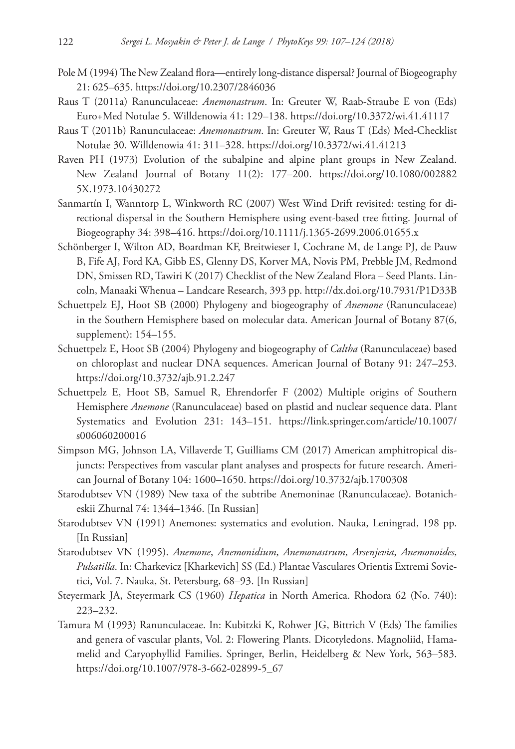- Pole M (1994) The New Zealand flora—entirely long-distance dispersal? Journal of Biogeography 21: 625–635.<https://doi.org/10.2307/2846036>
- Raus T (2011a) Ranunculaceae: *Anemonastrum*. In: Greuter W, Raab-Straube E von (Eds) Euro+Med Notulae 5. Willdenowia 41: 129–138. <https://doi.org/10.3372/wi.41.41117>
- Raus T (2011b) Ranunculaceae: *Anemonastrum*. In: Greuter W, Raus T (Eds) Med-Checklist Notulae 30. Willdenowia 41: 311–328. <https://doi.org/10.3372/wi.41.41213>
- Raven PH (1973) Evolution of the subalpine and alpine plant groups in New Zealand. New Zealand Journal of Botany 11(2): 177–200. [https://doi.org/10.1080/002882](https://doi.org/10.1080/0028825X.1973.10430272) [5X.1973.10430272](https://doi.org/10.1080/0028825X.1973.10430272)
- Sanmartín I, Wanntorp L, Winkworth RC (2007) West Wind Drift revisited: testing for directional dispersal in the Southern Hemisphere using event-based tree fitting. Journal of Biogeography 34: 398–416.<https://doi.org/10.1111/j.1365-2699.2006.01655.x>
- Schönberger I, Wilton AD, Boardman KF, Breitwieser I, Cochrane M, de Lange PJ, de Pauw B, Fife AJ, Ford KA, Gibb ES, Glenny DS, Korver MA, Novis PM, Prebble JM, Redmond DN, Smissen RD, Tawiri K (2017) Checklist of the New Zealand Flora – Seed Plants. Lincoln, Manaaki Whenua – Landcare Research, 393 pp.<http://dx.doi.org/10.7931/P1D33B>
- Schuettpelz EJ, Hoot SB (2000) Phylogeny and biogeography of *Anemone* (Ranunculaceae) in the Southern Hemisphere based on molecular data. American Journal of Botany 87(6, supplement): 154–155.
- Schuettpelz E, Hoot SB (2004) Phylogeny and biogeography of *Caltha* (Ranunculaceae) based on chloroplast and nuclear DNA sequences. American Journal of Botany 91: 247–253. <https://doi.org/10.3732/ajb.91.2.247>
- Schuettpelz E, Hoot SB, Samuel R, Ehrendorfer F (2002) Multiple origins of Southern Hemisphere *Anemone* (Ranunculaceae) based on plastid and nuclear sequence data. Plant Systematics and Evolution 231: 143–151. [https://link.springer.com/article/10.1007/](https://link.springer.com/article/10.1007/s006060200016) [s006060200016](https://link.springer.com/article/10.1007/s006060200016)
- Simpson MG, Johnson LA, Villaverde T, Guilliams CM (2017) American amphitropical disjuncts: Perspectives from vascular plant analyses and prospects for future research. American Journal of Botany 104: 1600–1650.<https://doi.org/10.3732/ajb.1700308>
- Starodubtsev VN (1989) New taxa of the subtribe Anemoninae (Ranunculaceae). Botanicheskii Zhurnal 74: 1344–1346. [In Russian]
- Starodubtsev VN (1991) Anemones: systematics and evolution. Nauka, Leningrad, 198 pp. [In Russian]
- Starodubtsev VN (1995). *Anemone*, *Anemonidium*, *Anemonastrum*, *Arsenjevia*, *Anemonoides*, *Pulsatilla*. In: Charkevicz [Kharkevich] SS (Ed.) Plantae Vasculares Orientis Extremi Sovietici, Vol. 7. Nauka, St. Petersburg, 68–93. [In Russian]
- Steyermark JA, Steyermark CS (1960) *Hepatica* in North America. Rhodora 62 (No. 740): 223–232.
- Tamura M (1993) Ranunculaceae. In: Kubitzki K, Rohwer JG, Bittrich V (Eds) The families and genera of vascular plants, Vol. 2: Flowering Plants. Dicotyledons. Magnoliid, Hamamelid and Caryophyllid Families. Springer, Berlin, Heidelberg & New York, 563–583. [https://doi.org/10.1007/978-3-662-02899-5\\_67](https://doi.org/10.1007/978-3-662-02899-5_67)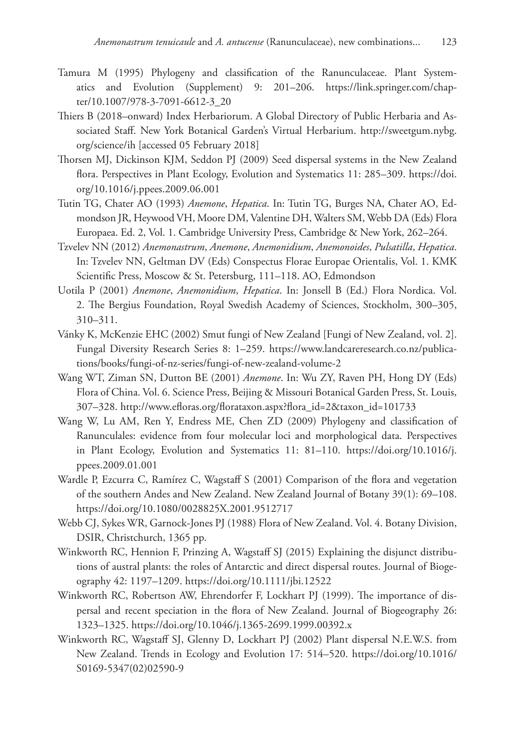- Tamura M (1995) Phylogeny and classification of the Ranunculaceae. Plant Systematics and Evolution (Supplement) 9: 201–206. [https://link.springer.com/chap](https://link.springer.com/chapter/10.1007/978-3-7091-6612-3_20)[ter/10.1007/978-3-7091-6612-3\\_20](https://link.springer.com/chapter/10.1007/978-3-7091-6612-3_20)
- Thiers B (2018–onward) Index Herbariorum. A Global Directory of Public Herbaria and Associated Staff. New York Botanical Garden's Virtual Herbarium. [http://sweetgum.nybg.](http://sweetgum.nybg.org/science/ih) [org/science/ih](http://sweetgum.nybg.org/science/ih) [accessed 05 February 2018]
- Thorsen MJ, Dickinson KJM, Seddon PJ (2009) Seed dispersal systems in the New Zealand flora. Perspectives in Plant Ecology, Evolution and Systematics 11: 285–309. [https://doi.](https://doi.org/10.1016/j.ppees.2009.06.001) [org/10.1016/j.ppees.2009.06.001](https://doi.org/10.1016/j.ppees.2009.06.001)
- Tutin TG, Chater AO (1993) *Anemone*, *Hepatica*. In: Tutin TG, Burges NA, Chater AO, Edmondson JR, Heywood VH, Moore DM, Valentine DH, Walters SM, Webb DA (Eds) Flora Europaea. Ed. 2, Vol. 1. Cambridge University Press, Cambridge & New York, 262–264.
- Tzvelev NN (2012) *Anemonastrum*, *Anemone*, *Anemonidium*, *Anemonoides*, *Pulsatilla*, *Hepatica*. In: Tzvelev NN, Geltman DV (Eds) Conspectus Florae Europae Orientalis, Vol. 1. KMK Scientific Press, Moscow & St. Petersburg, 111–118. AO, Edmondson
- Uotila P (2001) *Anemone*, *Anemonidium*, *Hepatica*. In: Jonsell B (Ed.) Flora Nordica. Vol. 2. The Bergius Foundation, Royal Swedish Academy of Sciences, Stockholm, 300–305, 310–311.
- Vánky K, McKenzie EHC (2002) Smut fungi of New Zealand [Fungi of New Zealand, vol. 2]. Fungal Diversity Research Series 8: 1–259. [https://www.landcareresearch.co.nz/publica](https://www.landcareresearch.co.nz/publications/books/fungi-of-nz-series/fungi-of-new-zealand-volume-2)[tions/books/fungi-of-nz-series/fungi-of-new-zealand-volume-2](https://www.landcareresearch.co.nz/publications/books/fungi-of-nz-series/fungi-of-new-zealand-volume-2)
- Wang WT, Ziman SN, Dutton BE (2001) *Anemone*. In: Wu ZY, Raven PH, Hong DY (Eds) Flora of China. Vol. 6. Science Press, Beijing & Missouri Botanical Garden Press, St. Louis, 307–328. [http://www.efloras.org/florataxon.aspx?flora\\_id=2&taxon\\_id=101733](http://www.efloras.org/florataxon.aspx?flora_id=2&taxon_id=101733)
- Wang W, Lu AM, Ren Y, Endress ME, Chen ZD (2009) Phylogeny and classification of Ranunculales: evidence from four molecular loci and morphological data. Perspectives in Plant Ecology, Evolution and Systematics 11: 81–110. [https://doi.org/10.1016/j.](https://doi.org/10.1016/j.ppees.2009.01.001) [ppees.2009.01.001](https://doi.org/10.1016/j.ppees.2009.01.001)
- Wardle P, Ezcurra C, Ramírez C, Wagstaff S (2001) Comparison of the flora and vegetation of the southern Andes and New Zealand. New Zealand Journal of Botany 39(1): 69–108. <https://doi.org/10.1080/0028825X.2001.9512717>
- Webb CJ, Sykes WR, Garnock-Jones PJ (1988) Flora of New Zealand. Vol. 4. Botany Division, DSIR, Christchurch, 1365 pp.
- Winkworth RC, Hennion F, Prinzing A, Wagstaff SJ (2015) Explaining the disjunct distributions of austral plants: the roles of Antarctic and direct dispersal routes. Journal of Biogeography 42: 1197–1209.<https://doi.org/10.1111/jbi.12522>
- Winkworth RC, Robertson AW, Ehrendorfer F, Lockhart PJ (1999). The importance of dispersal and recent speciation in the flora of New Zealand. Journal of Biogeography 26: 1323–1325.<https://doi.org/10.1046/j.1365-2699.1999.00392.x>
- Winkworth RC, Wagstaff SJ, Glenny D, Lockhart PJ (2002) Plant dispersal N.E.W.S. from New Zealand. Trends in Ecology and Evolution 17: 514–520. [https://doi.org/10.1016/](https://doi.org/10.1016/S0169-5347(02)02590-9) [S0169-5347\(02\)02590-9](https://doi.org/10.1016/S0169-5347(02)02590-9)